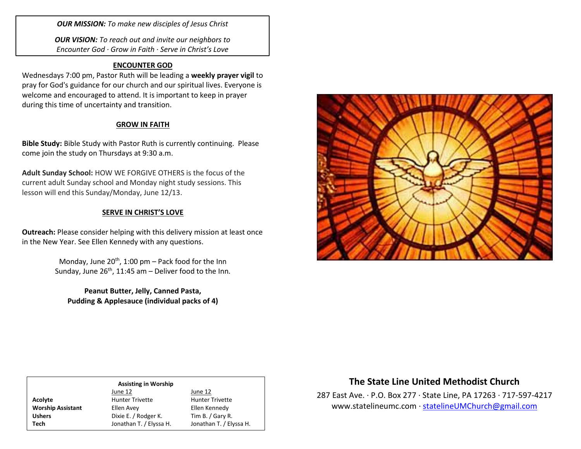*OUR MISSION: To make new disciples of Jesus Christ*

*OUR VISION: To reach out and invite our neighbors to Encounter God · Grow in Faith · Serve in Christ's Love*

### **ENCOUNTER GOD**

Wednesdays 7:00 pm, Pastor Ruth will be leading a **weekly prayer vigil** to pray for God's guidance for our church and our spiritual lives. Everyone is welcome and encouraged to attend. It is important to keep in prayer during this time of uncertainty and transition.

#### **GROW IN FAITH**

**Bible Study:** Bible Study with Pastor Ruth is currently continuing. Please come join the study on Thursdays at 9:30 a.m.

**Adult Sunday School:** HOW WE FORGIVE OTHERS is the focus of the current adult Sunday school and Monday night study sessions. This lesson will end this Sunday/Monday, June 12/13.

#### **SERVE IN CHRIST'S LOVE**

**Outreach:** Please consider helping with this delivery mission at least once in the New Year. See Ellen Kennedy with any questions.

> Monday, June 20<sup>th</sup>, 1:00 pm – Pack food for the Inn Sunday, June  $26<sup>th</sup>$ , 11:45 am – Deliver food to the Inn.

**Peanut Butter, Jelly, Canned Pasta, Pudding & Applesauce (individual packs of 4)**



| <b>Assisting in Worship</b> |                         |                         |  |
|-----------------------------|-------------------------|-------------------------|--|
|                             | June 12                 | June 12                 |  |
| Acolyte                     | <b>Hunter Trivette</b>  | <b>Hunter Trivette</b>  |  |
| <b>Worship Assistant</b>    | Ellen Avey              | Ellen Kennedy           |  |
| <b>Ushers</b>               | Dixie E. / Rodger K.    | Tim B. / Gary R.        |  |
| Tech                        | Jonathan T. / Elyssa H. | Jonathan T. / Elyssa H. |  |

# **The State Line United Methodist Church**

287 East Ave. · P.O. Box 277 · State Line, PA 17263 · 717-597-4217 [www.statelineumc.com](http://www.statelineumc.com/) · [statelineUMChurch@gmail.com](mailto:statelineUMChurch@gmail.com)